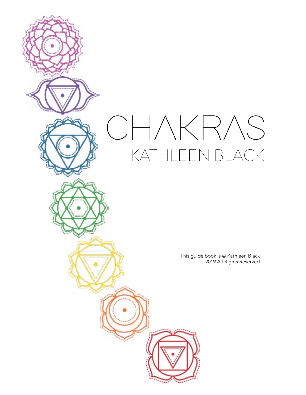# CHAKRAS KATHLEEN BLACK

This guide book is © Kathleen Black 2019 All Rights Reserved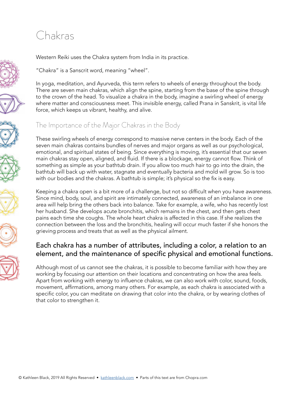## Chakras















Western Reiki uses the Chakra system from India in its practice.

"Chakra" is a Sanscrit word, meaning "wheel".

In yoga, meditation, and Ayurveda, this term refers to wheels of energy throughout the body. There are seven main chakras, which align the spine, starting from the base of the spine through to the crown of the head. To visualize a chakra in the body, imagine a swirling wheel of energy where matter and consciousness meet. This invisible energy, called Prana in Sanskrit, is vital life force, which keeps us vibrant, healthy, and alive.

### The Importance of the Major Chakras in the Body

These swirling wheels of energy correspond to massive nerve centers in the body. Each of the seven main chakras contains bundles of nerves and major organs as well as our psychological, emotional, and spiritual states of being. Since everything is moving, it's essential that our seven main chakras stay open, aligned, and fluid. If there is a blockage, energy cannot flow. Think of something as simple as your bathtub drain. If you allow too much hair to go into the drain, the bathtub will back up with water, stagnate and eventually bacteria and mold will grow. So is too with our bodies and the chakras. A bathtub is simple; it's physical so the fix is easy.

Keeping a chakra open is a bit more of a challenge, but not so difficult when you have awareness. Since mind, body, soul, and spirit are intimately connected, awareness of an imbalance in one area will help bring the others back into balance. Take for example, a wife, who has recently lost her husband. She develops acute bronchitis, which remains in the chest, and then gets chest pains each time she coughs. The whole heart chakra is affected in this case. If she realizes the connection between the loss and the bronchitis, healing will occur much faster if she honors the grieving process and treats that as well as the physical ailment.

### Each chakra has a number of attributes, including a color, a relation to an element, and the maintenance of specific physical and emotional functions.

Although most of us cannot see the chakras, it is possible to become familiar with how they are working by focusing our attention on their locations and concentrating on how the area feels. Apart from working with energy to influence chakras, we can also work with color, sound, foods, movement, affirmations, among many others. For example, as each chakra is associated with a specific color, you can meditate on drawing that color into the chakra, or by wearing clothes of that color to strengthen it.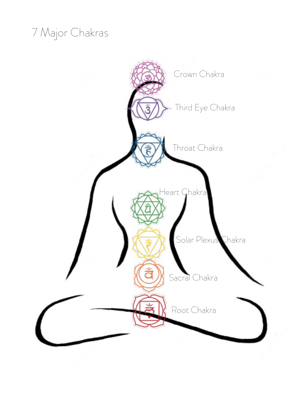# 7 Major Chakras

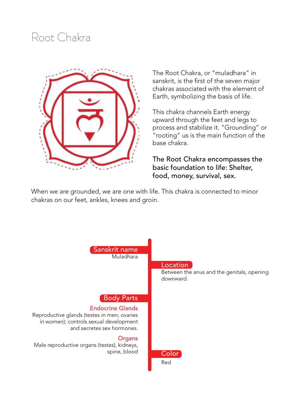### Root Chakra



The Root Chakra, or "muladhara" in sanskrit, is the first of the seven major chakras associated with the element of Earth, symbolizing the basis of life.

This chakra channels Earth energy upward through the feet and legs to process and stabilize it. "Grounding" or "rooting" us is the main function of the base chakra.

The Root Chakra encompasses the basic foundation to life: Shelter, food, money, survival, sex.

When we are grounded, we are one with life. This chakra is connected to minor chakras on our feet, ankles, knees and groin.

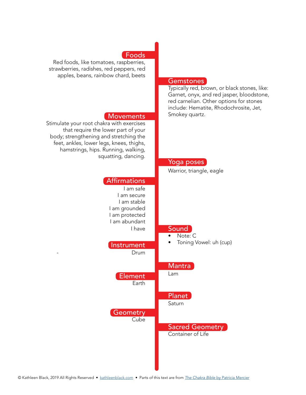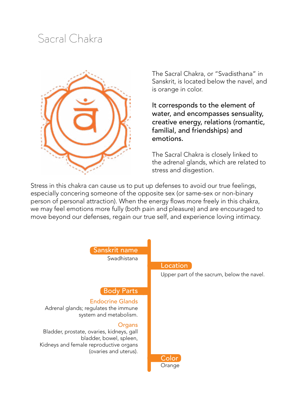### Sacral Chakra



The Sacral Chakra, or "Svadisthana" in Sanskrit, is located below the navel, and is orange in color.

It corresponds to the element of water, and encompasses sensuality, creative energy, relations (romantic, familial, and friendships) and emotions.

The Sacral Chakra is closely linked to the adrenal glands, which are related to stress and disgestion.

Stress in this chakra can cause us to put up defenses to avoid our true feelings, especially concering someone of the opposite sex (or same-sex or non-binary person of personal attraction). When the energy flows more freely in this chakra, we may feel emotions more fully (both pain and pleasure) and are encouraged to move beyond our defenses, regain our true self, and experience loving intimacy.

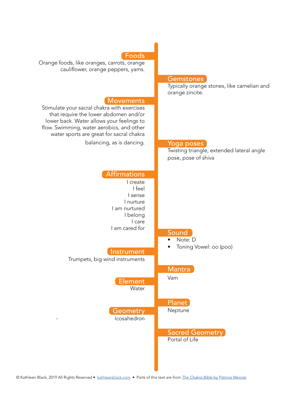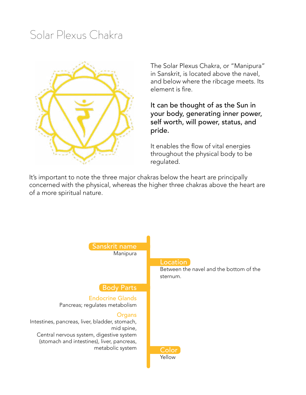### Solar Plexus Chakra



The Solar Plexus Chakra, or "Manipura" in Sanskrit, is located above the navel, and below where the ribcage meets. Its element is fire.

It can be thought of as the Sun in your body, generating inner power, self worth, will power, status, and pride.

It enables the flow of vital energies throughout the physical body to be regulated.

It's important to note the three major chakras below the heart are principally concerned with the physical, whereas the higher three chakras above the heart are of a more spiritual nature.

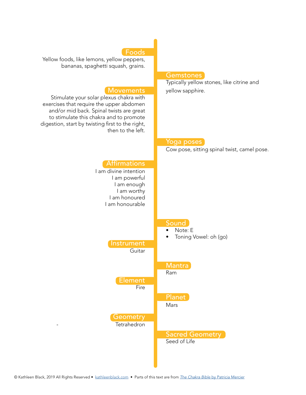### Foods

Yellow foods, like lemons, yellow peppers, bananas, spaghetti squash, grains.

#### **Movements**

Stimulate your solar plexus chakra with exercises that require the upper abdomen and/or mid back. Spinal twists are great to stimulate this chakra and to promote digestion, start by twisting first to the right, then to the left.

#### **Gemstones**

Typically yellow stones, like citrine and yellow sapphire.

### Affirmations I am divine intention I am powerful I am enough I am worthy I am honoured I am honourable Instrument **Guitar** Element **Fire Geometry Tetrahedron** Yoga poses Cow pose, sitting spinal twist, camel pose. Sound • Note: E • Toning Vowel: oh (go) Mantra Ram Planet Mars **Sacred Geometry** Seed of Life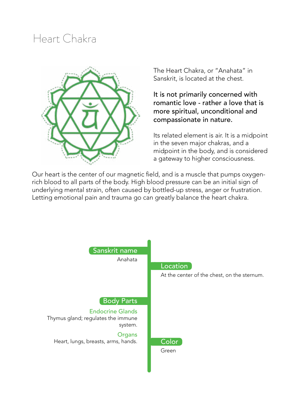### Heart Chakra



The Heart Chakra, or "Anahata" in Sanskrit, is located at the chest.

It is not primarily concerned with romantic love - rather a love that is more spiritual, unconditional and compassionate in nature.

Its related element is air. It is a midpoint in the seven major chakras, and a midpoint in the body, and is considered a gateway to higher consciousness.

Our heart is the center of our magnetic field, and is a muscle that pumps oxygenrich blood to all parts of the body. High blood pressure can be an initial sign of underlying mental strain, often caused by bottled-up stress, anger or frustration. Letting emotional pain and trauma go can greatly balance the heart chakra.

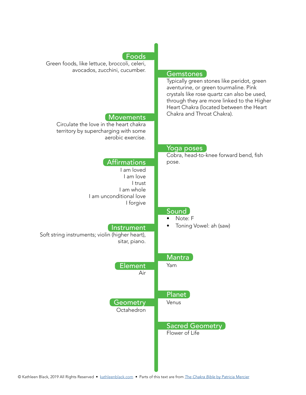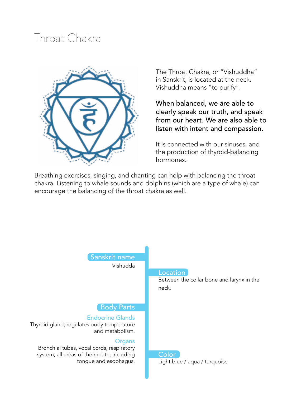### Throat Chakra



The Throat Chakra, or "Vishuddha" in Sanskrit, is located at the neck. Vishuddha means "to purify".

When balanced, we are able to clearly speak our truth, and speak from our heart. We are also able to listen with intent and compassion.

It is connected with our sinuses, and the production of thyroid-balancing hormones.

Breathing exercises, singing, and chanting can help with balancing the throat chakra. Listening to whale sounds and dolphins (which are a type of whale) can encourage the balancing of the throat chakra as well.

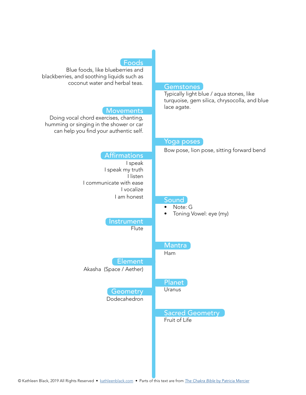#### Foods

turquoise, gem silica, chrysocolla, and blue

Bow pose, lion pose, sitting forward bend

lace agate.

Yoga poses

Blue foods, like blueberries and blackberries, and soothing liquids such as coconut water and herbal teas. **Gemstones** Typically light blue / aqua stones, like

#### **Movements**

Doing vocal chord exercises, chanting, humming or singing in the shower or car can help you find your authentic self.

### Affirmations

 I speak I speak my truth I listen I communicate with ease I vocalize I am honest Instrument **Flute** Element Akasha (Space / Aether) **Geometry** Dodecahedron Sound • Note: G • Toning Vowel: eye (my) **Mantra** Ham Planet **Uranus** Sacred Geometry Fruit of Life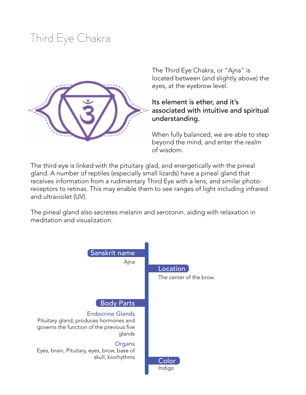# Third Eye Chakra



The Third Eye Chakra, or "Ajna" is located between (and slightly above) the eyes, at the eyebrow level.

### Its element is ether, and it's associated with intuitive and spiritual understanding.

When fully balanced, we are able to step beyond the mind, and enter the realm of wisdom.

The third eye is linked with the pituitary glad, and energetically with the pineal gland. A number of reptiles (especially small lizards) have a pineal gland that receives information from a rudimentary Third Eye with a lens, and similar photoreceptors to retinas. This may enable them to see ranges of light including infrared and ultraviolet (UV).

The pineal gland also secretes melanin and serotonin. aiding with relaxation in meditation and visualization.

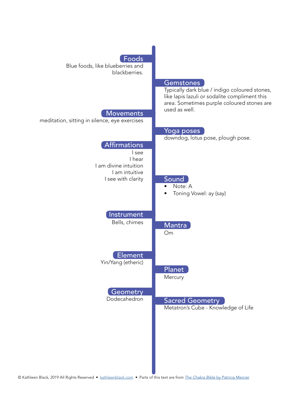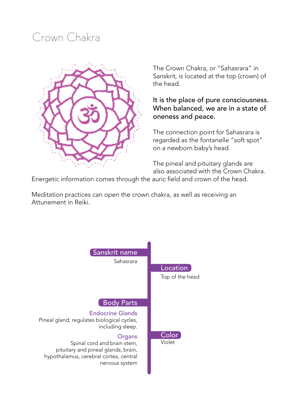# Crown Chakra



The Crown Chakra, or "Sahasrara" in Sanskrit, is located at the top (crown) of the head.

### It is the place of pure consciousness. When balanced, we are in a state of oneness and peace.

The connection point for Sahasrara is regarded as the fontanelle "soft spot" on a newborn baby's head.

The pineal and pituitary glands are also associated with the Crown Chakra.

Energetic information comes through the auric field and crown of the head.

Meditation practices can open the crown chakra, as well as receiving an Attunement in Reiki.

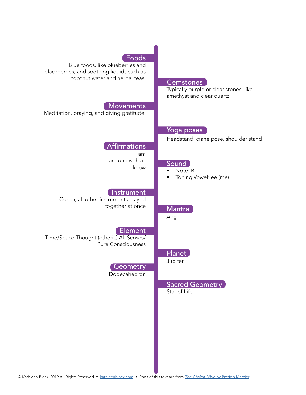| Foods<br>Blue foods, like blueberries and<br>blackberries, and soothing liquids such as<br>coconut water and herbal teas. | Gemstones<br>Typically purple or clear stones, like<br>amethyst and clear quartz. |
|---------------------------------------------------------------------------------------------------------------------------|-----------------------------------------------------------------------------------|
| <b>Movements</b><br>Meditation, praying, and giving gratitude.                                                            |                                                                                   |
| <b>Affirmations</b><br>I am                                                                                               | Yoga poses<br>Headstand, crane pose, shoulder stand                               |
| I am one with all<br>I know                                                                                               | Sound<br>Note: B<br>$\bullet$<br>Toning Vowel: ee (me)                            |
| Instrument<br>Conch, all other instruments played<br>together at once                                                     | Mantra<br>Ang                                                                     |
| Element<br>Time/Space Thought (etheric) All Senses/<br><b>Pure Consciousness</b>                                          | Planet                                                                            |
| Geometry<br>Dodecahedron                                                                                                  | Jupiter                                                                           |
|                                                                                                                           | <b>Sacred Geometry</b><br>Star of Life                                            |
|                                                                                                                           |                                                                                   |
|                                                                                                                           |                                                                                   |
|                                                                                                                           |                                                                                   |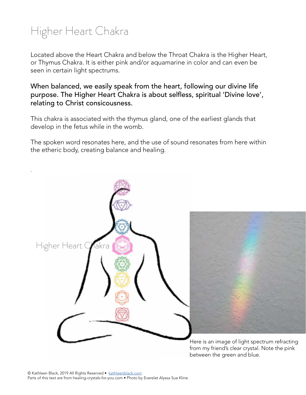# Higher Heart Chakra

.

Located above the Heart Chakra and below the Throat Chakra is the Higher Heart, or Thymus Chakra. It is either pink and/or aquamarine in color and can even be seen in certain light spectrums.

When balanced, we easily speak from the heart, following our divine life purpose. The Higher Heart Chakra is about selfless, spiritual 'Divine love', relating to Christ consicousness.

This chakra is associated with the thymus gland, one of the earliest glands that develop in the fetus while in the womb.

The spoken word resonates here, and the use of sound resonates from here within the etheric body, creating balance and healing.



from my friend's clear crystal. Note the pink between the green and blue.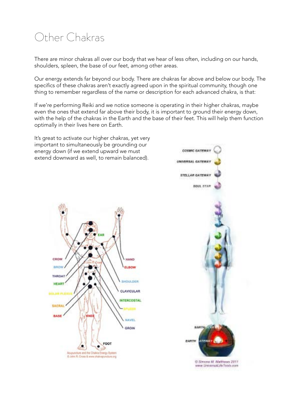# Other Chakras

There are minor chakras all over our body that we hear of less often, including on our hands, shoulders, spleen, the base of our feet, among other areas.

Our energy extends far beyond our body. There are chakras far above and below our body. The specifics of these chakras aren't exactly agreed upon in the spiritual community, though one thing to remember regardless of the name or description for each advanced chakra, is that:

If we're performing Reiki and we notice someone is operating in their higher chakras, maybe even the ones that extend far above their body, it is important to ground their energy down, with the help of the chakras in the Earth and the base of their feet. This will help them function optimally in their lives here on Earth.

It's great to activate our higher chakras, yet very important to simultaneously be grounding our energy down (if we extend upward we must extend downward as well, to remain balanced).



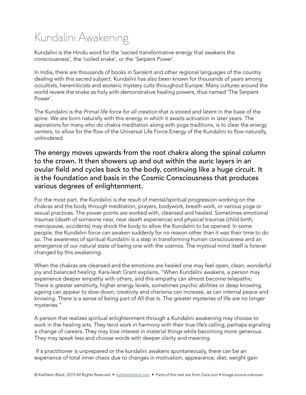# Kundalini Awakening

Kundalini is the Hindu word for the 'sacred transformative energy that awakens the consciousness', the 'coiled snake', or the 'Serpent Power'.

In India, there are thousands of books in Sanskrit and other regional languages of the country dealing with this sacred subject. Kundalini has also been known for thousands of years among occultists, heremiticists and esoteric mystery cults throughout Europe. Many cultures around the world revere the snake as holy with demonstrative healing powers, thus named 'The Serpent Power'.

The Kundalini is the *Primal life force for all creation* that is stored and latent in the base of the spine. We are born naturally with this energy in which it awaits activation in later years. The aspirations for many who do chakra meditation along with yoga traditions, is to clear the energy centers, to allow for the flow of the Universal Life Force Energy of the Kundalini to flow naturally, unhindered.

The energy moves upwards from the root chakra along the spinal column to the crown. It then showers up and out within the auric layers in an ovular field and cycles back to the body, continuing like a huge circuit. It is the foundation and basis in the Cosmic Consciousness that produces various degrees of enlightenment.

For the most part, the Kundalini is the result of mental/spiritual progression working on the chakras and the body through meditation, prayers, bodywork, breath work, or various yoga or sexual practices. The power points are worked with, cleansed and healed. Sometimes emotional traumas (death of someone near, near death experience) and physical traumas (child birth, menopause, accidents) may shock the body to allow the Kundalini to be opened. In some people, the Kundalini force can awaken suddenly for no reason other than it was their time to do so. The awareness of spiritual Kundalini is a step in transforming human consciousness and an emergence of our natural state of being one with the cosmos. The mystical mind itself is forever changed by this awakening.

When the chakras are cleansed and the emotions are healed one may feel open, clean, wonderful joy and balanced healing. Kara-leah Grant explains, "When Kundalini awakens, a person may experience deeper empathy with others, and this empathy can almost become telepathic. There is greater sensitivity, higher energy levels, sometimes psychic abilities or deep knowing, ageing can appear to slow down, creativity and charisma can increase, as can internal peace and knowing. There is a sense of being part of All that Is. The greater mysteries of life are no longer mysteries."

A person that realizes spiritual enlightenment through a Kundalini awakening may choose to work in the healing arts. They tend work in harmony with their true life's calling, perhaps signaling a change of careers. They may lose interest in material things while becoming more generous. They may speak less and choose words with deeper clarity and meaning.

 If a practitioner is unprepared or the kundalini awakens spontaneously, there can be an experience of total inner chaos due to changes in motivation, appearance, diet, weight gain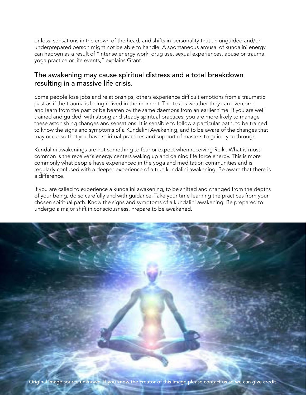or loss, sensations in the crown of the head, and shifts in personality that an unguided and/or underprepared person might not be able to handle. A spontaneous arousal of kundalini energy can happen as a result of "intense energy work, drug use, sexual experiences, abuse or trauma, yoga practice or life events," explains Grant.

#### The awakening may cause spiritual distress and a total breakdown resulting in a massive life crisis.

Some people lose jobs and relationships; others experience difficult emotions from a traumatic past as if the trauma is being relived in the moment. The test is weather they can overcome and learn from the past or be beaten by the same daemons from an earlier time. If you are well trained and guided, with strong and steady spiritual practices, you are more likely to manage these astonishing changes and sensations. It is sensible to follow a particular path, to be trained to know the signs and symptoms of a Kundalini Awakening, and to be aware of the changes that may occur so that you have spiritual practices and support of masters to guide you through.

Kundalini awakenings are not something to fear or expect when receiving Reiki. What is most common is the receiver's energy centers waking up and gaining life force energy. This is more commonly what people have experienced in the yoga and meditation communities and is regularly confused with a deeper experience of a true kundalini awakening. Be aware that there is a difference.

If you are called to experience a kundalini awakening, to be shifted and changed from the depths of your being, do so carefully and with guidance. Take your time learning the practices from your chosen spiritual path. Know the signs and symptoms of a kundalini awakening. Be prepared to undergo a major shift in consciousness. Prepare to be awakened.